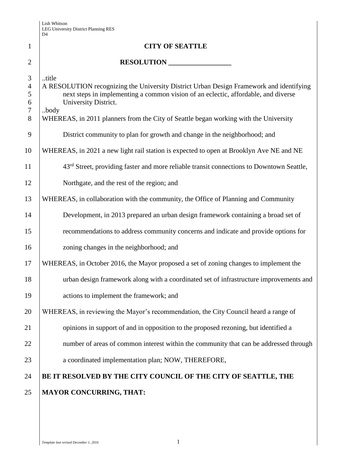|                                    | דע                                                                                                                                                                                                                     |
|------------------------------------|------------------------------------------------------------------------------------------------------------------------------------------------------------------------------------------------------------------------|
| $\mathbf{1}$                       | <b>CITY OF SEATTLE</b>                                                                                                                                                                                                 |
| $\overline{2}$                     | RESOLUTION                                                                                                                                                                                                             |
| 3<br>$\overline{4}$<br>5<br>6<br>7 | title<br>A RESOLUTION recognizing the University District Urban Design Framework and identifying<br>next steps in implementing a common vision of an eclectic, affordable, and diverse<br>University District.<br>body |
| 8<br>9                             | WHEREAS, in 2011 planners from the City of Seattle began working with the University<br>District community to plan for growth and change in the neighborhood; and                                                      |
| 10                                 | WHEREAS, in 2021 a new light rail station is expected to open at Brooklyn Ave NE and NE                                                                                                                                |
| 11                                 | 43 <sup>rd</sup> Street, providing faster and more reliable transit connections to Downtown Seattle,                                                                                                                   |
| 12                                 | Northgate, and the rest of the region; and                                                                                                                                                                             |
| 13                                 | WHEREAS, in collaboration with the community, the Office of Planning and Community                                                                                                                                     |
| 14                                 | Development, in 2013 prepared an urban design framework containing a broad set of                                                                                                                                      |
| 15                                 | recommendations to address community concerns and indicate and provide options for                                                                                                                                     |
| 16                                 | zoning changes in the neighborhood; and                                                                                                                                                                                |
| 17                                 | WHEREAS, in October 2016, the Mayor proposed a set of zoning changes to implement the                                                                                                                                  |
| 18                                 | urban design framework along with a coordinated set of infrastructure improvements and                                                                                                                                 |
| 19                                 | actions to implement the framework; and                                                                                                                                                                                |
| 20                                 | WHEREAS, in reviewing the Mayor's recommendation, the City Council heard a range of                                                                                                                                    |
| 21                                 | opinions in support of and in opposition to the proposed rezoning, but identified a                                                                                                                                    |
| 22                                 | number of areas of common interest within the community that can be addressed through                                                                                                                                  |
| 23                                 | a coordinated implementation plan; NOW, THEREFORE,                                                                                                                                                                     |
| 24                                 | BE IT RESOLVED BY THE CITY COUNCIL OF THE CITY OF SEATTLE, THE                                                                                                                                                         |
| 25                                 | <b>MAYOR CONCURRING, THAT:</b>                                                                                                                                                                                         |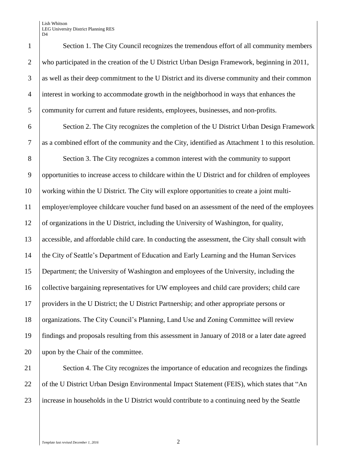Lish Whitson LEG University District Planning RES D<sub>4</sub>

 Section 1. The City Council recognizes the tremendous effort of all community members who participated in the creation of the U District Urban Design Framework, beginning in 2011, as well as their deep commitment to the U District and its diverse community and their common interest in working to accommodate growth in the neighborhood in ways that enhances the community for current and future residents, employees, businesses, and non-profits.

 Section 2. The City recognizes the completion of the U District Urban Design Framework as a combined effort of the community and the City, identified as Attachment 1 to this resolution.

 Section 3. The City recognizes a common interest with the community to support opportunities to increase access to childcare within the U District and for children of employees working within the U District. The City will explore opportunities to create a joint multi- employer/employee childcare voucher fund based on an assessment of the need of the employees of organizations in the U District, including the University of Washington, for quality, accessible, and affordable child care. In conducting the assessment, the City shall consult with the City of Seattle's Department of Education and Early Learning and the Human Services Department; the University of Washington and employees of the University, including the collective bargaining representatives for UW employees and child care providers; child care providers in the U District; the U District Partnership; and other appropriate persons or 18 | organizations. The City Council's Planning, Land Use and Zoning Committee will review findings and proposals resulting from this assessment in January of 2018 or a later date agreed upon by the Chair of the committee.

21 Section 4. The City recognizes the importance of education and recognizes the findings 22 of the U District Urban Design Environmental Impact Statement (FEIS), which states that "An 23 increase in households in the U District would contribute to a continuing need by the Seattle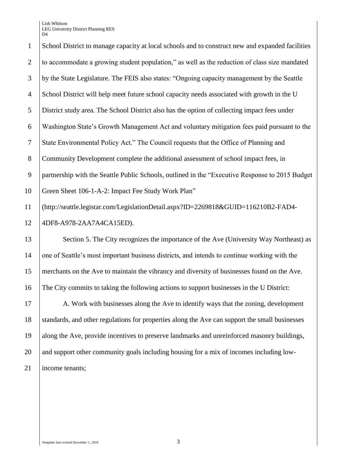Lish Whitson LEG University District Planning RES  $\mathbf{D}$ 

 School District to manage capacity at local schools and to construct new and expanded facilities to accommodate a growing student population," as well as the reduction of class size mandated by the State Legislature. The FEIS also states: "Ongoing capacity management by the Seattle School District will help meet future school capacity needs associated with growth in the U District study area. The School District also has the option of collecting impact fees under Washington State's Growth Management Act and voluntary mitigation fees paid pursuant to the State Environmental Policy Act." The Council requests that the Office of Planning and Community Development complete the additional assessment of school impact fees, in partnership with the Seattle Public Schools, outlined in the "Executive Response to 2015 Budget Green Sheet 106-1-A-2: Impact Fee Study Work Plan" (http://seattle.legistar.com/LegislationDetail.aspx?ID=2269818&GUID=116210B2-FAD4- 4DF8-A978-2AA7A4CA15ED). 13 Section 5. The City recognizes the importance of the Ave (University Way Northeast) as one of Seattle's most important business districts, and intends to continue working with the merchants on the Ave to maintain the vibrancy and diversity of businesses found on the Ave. The City commits to taking the following actions to support businesses in the U District: 17 A. Work with businesses along the Ave to identify ways that the zoning, development standards, and other regulations for properties along the Ave can support the small businesses along the Ave, provide incentives to preserve landmarks and unreinforced masonry buildings, 20 and support other community goals including housing for a mix of incomes including low-21 | income tenants;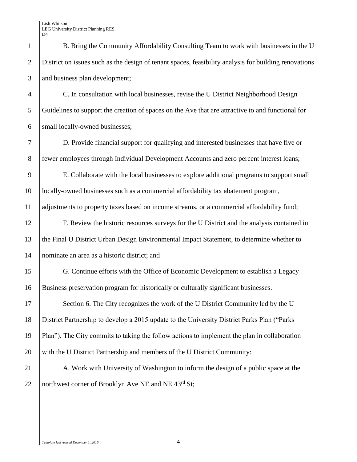| $\mathbf{1}$   | B. Bring the Community Affordability Consulting Team to work with businesses in the U                 |  |
|----------------|-------------------------------------------------------------------------------------------------------|--|
| $\overline{2}$ | District on issues such as the design of tenant spaces, feasibility analysis for building renovations |  |
| 3              | and business plan development;                                                                        |  |
| $\overline{4}$ | C. In consultation with local businesses, revise the U District Neighborhood Design                   |  |
| 5              | Guidelines to support the creation of spaces on the Ave that are attractive to and functional for     |  |
| 6              | small locally-owned businesses;                                                                       |  |
| $\tau$         | D. Provide financial support for qualifying and interested businesses that have five or               |  |
| $8\phantom{.}$ | fewer employees through Individual Development Accounts and zero percent interest loans;              |  |
| 9              | E. Collaborate with the local businesses to explore additional programs to support small              |  |
| 10             | locally-owned businesses such as a commercial affordability tax abatement program,                    |  |
| 11             | adjustments to property taxes based on income streams, or a commercial affordability fund;            |  |
| 12             | F. Review the historic resources surveys for the U District and the analysis contained in             |  |
| 13             | the Final U District Urban Design Environmental Impact Statement, to determine whether to             |  |
| 14             | nominate an area as a historic district; and                                                          |  |
| 15             | G. Continue efforts with the Office of Economic Development to establish a Legacy                     |  |
| 16             | Business preservation program for historically or culturally significant businesses.                  |  |
| 17             | Section 6. The City recognizes the work of the U District Community led by the U                      |  |
| 18             | District Partnership to develop a 2015 update to the University District Parks Plan ("Parks"          |  |
| 19             | Plan"). The City commits to taking the follow actions to implement the plan in collaboration          |  |
| 20             | with the U District Partnership and members of the U District Community:                              |  |
| 21             | A. Work with University of Washington to inform the design of a public space at the                   |  |
| 22             | northwest corner of Brooklyn Ave NE and NE 43 <sup>rd</sup> St;                                       |  |
|                |                                                                                                       |  |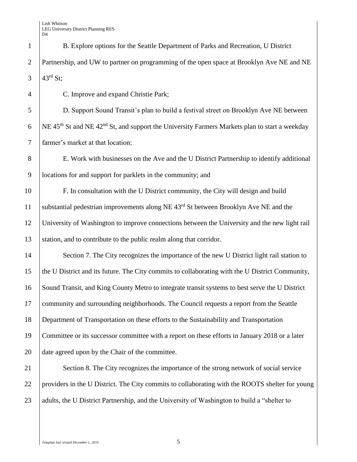1 B. Explore options for the Seattle Department of Parks and Recreation, U District 2 Partnership, and UW to partner on programming of the open space at Brooklyn Ave NE and NE 3  $43^{rd}$  St:

 C. Improve and expand Christie Park; D. Support Sound Transit's plan to build a festival street on Brooklyn Ave NE between 6 NE 45<sup>th</sup> St and NE 42<sup>nd</sup> St, and support the University Farmers Markets plan to start a weekday farmer's market at that location; E. Work with businesses on the Ave and the U District Partnership to identify additional locations for and support for parklets in the community; and F. In consultation with the U District community, the City will design and build 11 | substantial pedestrian improvements along NE  $43<sup>rd</sup>$  St between Brooklyn Ave NE and the University of Washington to improve connections between the University and the new light rail 13 Station, and to contribute to the public realm along that corridor. 14 Section 7. The City recognizes the importance of the new U District light rail station to the U District and its future. The City commits to collaborating with the U District Community, Sound Transit, and King County Metro to integrate transit systems to best serve the U District community and surrounding neighborhoods. The Council requests a report from the Seattle Department of Transportation on these efforts to the Sustainability and Transportation Committee or its successor committee with a report on these efforts in January 2018 or a later 20 date agreed upon by the Chair of the committee.

21 Section 8. The City recognizes the importance of the strong network of social service 22 providers in the U District. The City commits to collaborating with the ROOTS shelter for young 23 adults, the U District Partnership, and the University of Washington to build a "shelter to"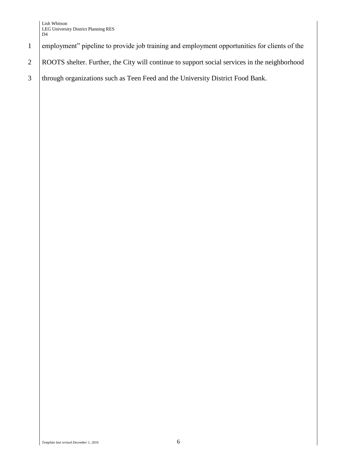- 1 employment" pipeline to provide job training and employment opportunities for clients of the
- 2 ROOTS shelter. Further, the City will continue to support social services in the neighborhood
- 3 through organizations such as Teen Feed and the University District Food Bank.